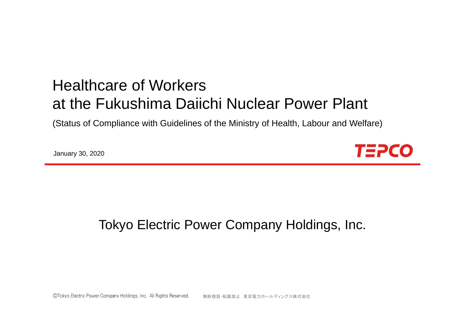# Healthcare of Workersat the Fukushima Daiichi Nuclear Power Plant

(Status of Compliance with Guidelines of the Ministry of Health, Labour and Welfare)

January 30, 2020



## Tokyo Electric Power Company Holdings, Inc.

©Tokyo Electric Power Company Holdings, Inc. All Rights Reserved. 無断複製・転載禁止 東京電力ホールディングス株式会社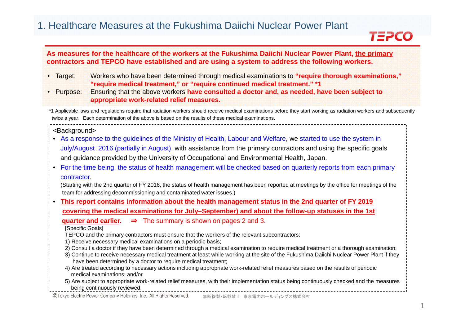### 1. Healthcare Measures at the Fukushima Daiichi Nuclear Power Plant

### **TEPCO**

| As measures for the healthcare of the workers at the Fukushima Daiichi Nuclear Power Plant, the primary<br>contractors and TEPCO have established and are using a system to address the following workers.                                                                                                                                                                                                                                                                                                                                                                                                                                                                                                                                                                                                                                                                                                                                                                                                                                                                        |  |
|-----------------------------------------------------------------------------------------------------------------------------------------------------------------------------------------------------------------------------------------------------------------------------------------------------------------------------------------------------------------------------------------------------------------------------------------------------------------------------------------------------------------------------------------------------------------------------------------------------------------------------------------------------------------------------------------------------------------------------------------------------------------------------------------------------------------------------------------------------------------------------------------------------------------------------------------------------------------------------------------------------------------------------------------------------------------------------------|--|
| Workers who have been determined through medical examinations to "require thorough examinations,"<br>· Target:<br>"require medical treatment," or "require continued medical treatment." *1<br>Ensuring that the above workers have consulted a doctor and, as needed, have been subject to<br>Purpose:<br>appropriate work-related relief measures.                                                                                                                                                                                                                                                                                                                                                                                                                                                                                                                                                                                                                                                                                                                              |  |
| *1 Applicable laws and regulations require that radiation workers should receive medical examinations before they start working as radiation workers and subsequently<br>twice a year. Each determination of the above is based on the results of these medical examinations.                                                                                                                                                                                                                                                                                                                                                                                                                                                                                                                                                                                                                                                                                                                                                                                                     |  |
| <background><br/>• As a response to the guidelines of the Ministry of Health, Labour and Welfare, we started to use the system in<br/>July/August 2016 (partially in August), with assistance from the primary contractors and using the specific goals<br/>and guidance provided by the University of Occupational and Environmental Health, Japan.<br/>For the time being, the status of health management will be checked based on quarterly reports from each primary<br/>contractor.<br/>(Starting with the 2nd quarter of FY 2016, the status of health management has been reported at meetings by the office for meetings of the<br/>team for addressing decommissioning and contaminated water issues.)</background>                                                                                                                                                                                                                                                                                                                                                     |  |
| This report contains information about the health management status in the 2nd quarter of FY 2019                                                                                                                                                                                                                                                                                                                                                                                                                                                                                                                                                                                                                                                                                                                                                                                                                                                                                                                                                                                 |  |
| covering the medical examinations for July-September) and about the follow-up statuses in the 1st<br>quarter and earlier. $\Rightarrow$ The summary is shown on pages 2 and 3.<br>[Specific Goals]<br>TEPCO and the primary contractors must ensure that the workers of the relevant subcontractors:<br>1) Receive necessary medical examinations on a periodic basis;<br>2) Consult a doctor if they have been determined through a medical examination to require medical treatment or a thorough examination;<br>3) Continue to receive necessary medical treatment at least while working at the site of the Fukushima Daiichi Nuclear Power Plant if they<br>have been determined by a doctor to require medical treatment;<br>4) Are treated according to necessary actions including appropriate work-related relief measures based on the results of periodic<br>medical examinations; and/or<br>5) Are subject to appropriate work-related relief measures, with their implementation status being continuously checked and the measures<br>being continuously reviewed. |  |

©Tokyo Electric Power Company Holdings, Inc. All Rights Reserved. 無断複製・転載禁止 東京電力ホールディングス株式会社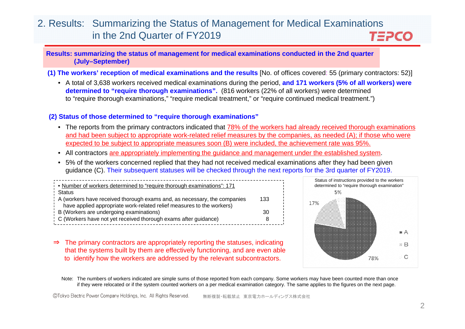#### 2. Results: Summarizing the Status of Management for Medical Examinations in the 2nd Quarter of FY2019 TEPCO

**Results: summarizing the status of management for medical examinations conducted in the 2nd quarter (July–September)**

- **(1) The workers' reception of medical examinations and the results** [No. of offices covered: 55 (primary contractors: 52)]
	- A total of 3,638 workers received medical examinations during the period, **and 171 workers (5% of all workers) were determined to "require thorough examinations".** (816 workers (22% of all workers) were determined to "require thorough examinations," "require medical treatment," or "require continued medical treatment.")

#### **(2) Status of those determined to "require thorough examinations"**

- The reports from the primary contractors indicated that 78% of the workers had already received thorough examinations and had been subject to appropriate work-related relief measures by the companies, as needed (A); if those who were expected to be subject to appropriate measures soon (B) were included, the achievement rate was 95%.
- All contractors are appropriately implementing the guidance and management under the established system.
- 5% of the workers concerned replied that they had not received medical examinations after they had been given guidance (C). Their subsequent statuses will be checked through the next reports for the 3rd quarter of FY2019.

| Number of workers determined to "require thorough examinations": 171                                                           |    |
|--------------------------------------------------------------------------------------------------------------------------------|----|
| : Status<br>A (workers have received thorough exams and, as necessary, the companies<br>133                                    |    |
| have applied appropriate work-related relief measures to the workers)<br>$\frac{1}{2}$ B (Workers are undergoing examinations) | 30 |
| : C (Workers have not yet received thorough exams after guidance)                                                              |    |



⇒ The primary contractors are appropriately reporting the statuses, indicating that the systems built by them are effectively functioning, and are even able to identify how the workers are addressed by the relevant subcontractors.

Note: The numbers of workers indicated are simple sums of those reported from each company. Some workers may have been counted more than once if they were relocated or if the system counted workers on a per medical examination category. The same applies to the figures on the next page.

©Tokyo Electric Power Company Holdings, Inc. All Rights Reserved. 無断複製・転載禁止 東京電力ホールディングス株式会社